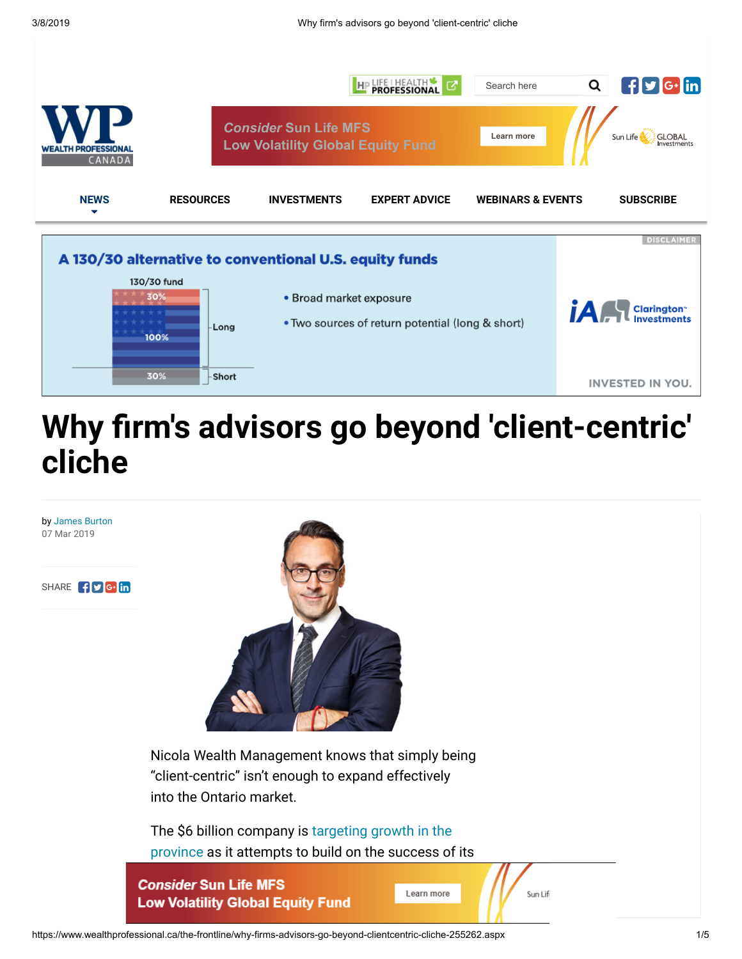

# **Why firm's advisors go beyond 'client-centric' cliche**

by [James Burton](https://www.wealthprofessional.ca/authors/james-burton-235414/) 07 Mar 2019

SHARE **f** y G. in



Nicola Wealth Management knows that simply being "client-centric" isn't enough to expand effectively into the Ontario market.

[The \\$6 billion company](https://www.wealthprofessional.ca/the-frontline/spearheading-nicolas-ontario-expansion-253998.aspx) is targeting growth in the province as it attempts to build on the success of its

Vancouver HQ [and oces](https://adclick.g.doubleclick.net/pcs/click%253Fxai%253DAKAOjssfBSJODZfL85p_O541a7qoojzIMr5qgOIVThJ7-xbb7mhYTU_5bellZj4N5QhQ-sU5njBMhKN-f9jnWzCx1ezrxYeqAtJvjkOEDYDmZMagT5Ah84WcWj1JEow4eK4YOdiDmlv9aSecMcdKtpMiWK8HZIGixXSADRLiAFhd9Tm8TVvDeMzAik3Xp3EhmwQVjSccBRyIvcTfUiQ_VMiusg2pu5dmQf0he8vVYB91qX3ObrsjatV-xBdWp6fOGBjdL99rW7XiO-mAuREXM64%2526sai%253DAMfl-YTCD4PPul57J1GuE5fPqenJOF4q82heU8ScfpOpsyLYB-Lzwn_1-BHC8CzY30RjiywtTCOMkSgk-00h50NNJXi1h-D--VC9U_zkhSkVWQ%2526sig%253DCg0ArKJSzIHL6wnlDbNEEAE%2526urlfix%253D1%2526adurl%253Dhttps://www.sunlifeglobalinvestments.com/Slgi/campaigns/RRSP-solutions?vgnLocale=En_CA&WT.ac=en-ca%3Adigital_adv%3Adisplay%3Awealthp%3Arrspsolutions%3Arrspsol_lb_wp_lv) in Kelowna and

https://www.wealthprofessional.ca/the-frontline/why-firms-advisors-go-beyond-clientcentric-cliche-255262.aspx 1/5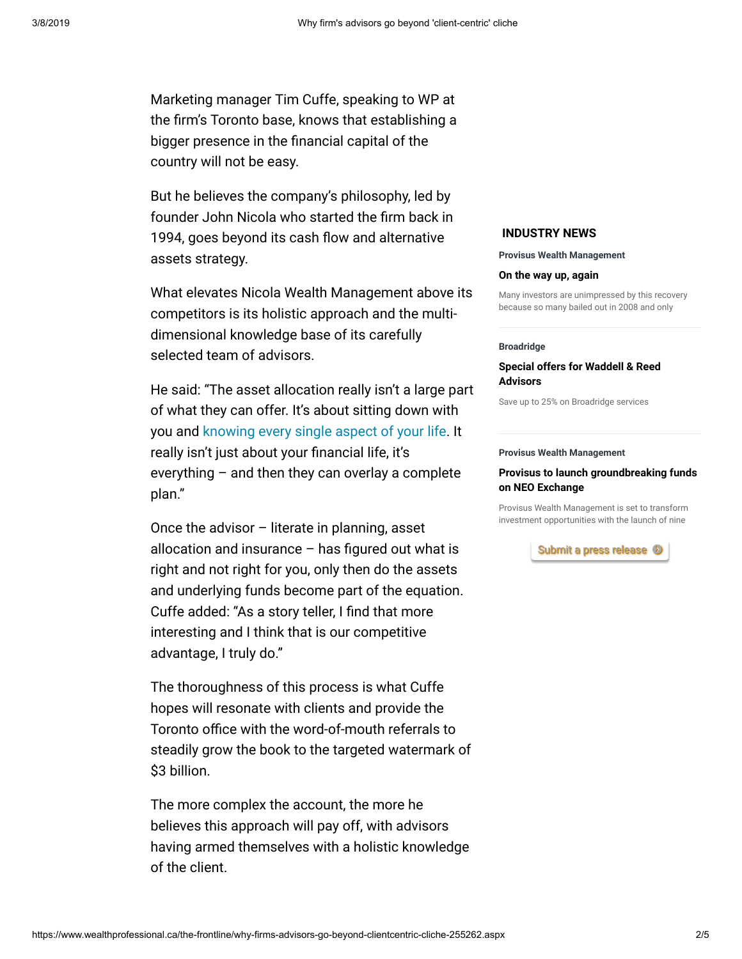Marketing manager Tim Cuffe, speaking to WP at the firm's Toronto base, knows that establishing a bigger presence in the financial capital of the country will not be easy.

But he believes the company's philosophy, led by founder John Nicola who started the firm back in 1994, goes beyond its cash flow and alternative assets strategy.

What elevates Nicola Wealth Management above its competitors is its holistic approach and the multidimensional knowledge base of its carefully selected team of advisors.

He said: "The asset allocation really isn't a large part of what they can offer. It's about sitting down with you and knowing every [single aspect](https://www.wealthprofessional.ca/the-frontline/we-can-be-catalyst-for-those-difficult-conversations-says-advisor-254826.aspx) of your life. It really isn't just about your financial life, it's everything – and then they can overlay a complete plan."

Once the advisor – literate in planning, asset allocation and insurance  $-$  has figured out what is right and not right for you, only then do the assets and underlying funds become part of the equation. Cuffe added: "As a story teller, I find that more interesting and I think that is our competitive advantage, I truly do."

The thoroughness of this process is what Cuffe hopes will resonate with clients and provide the Toronto office with the word-of-mouth referrals to steadily grow the book to the targeted watermark of \$3 billion.

The more complex the account, the more he believes this approach will pay off, with advisors having armed themselves with a holistic knowledge of the client.

# **INDUSTRY NEWS**

#### **Provisus Wealth Management**

### **[On the way up, again](https://www.wealthprofessional.ca/industry-news/provisus-wealth-management/on-the-way-up-again-255125.aspx)**

Many investors are unimpressed by this recovery because so many bailed out in 2008 and only

#### **Broadridge**

## **[Special offers for Waddell & Reed](https://www.wealthprofessional.ca/industry-news/broadridge/special-offers-for-waddell-and-reed-advisors-254806.aspx) Advisors**

Save up to 25% on Broadridge services

#### **Provisus Wealth Management**

## **[Provisus to launch groundbreaking funds](https://www.wealthprofessional.ca/industry-news/provisus-wealth-management/provisus-to-launch-groundbreaking-funds-on-neo-exchange-254579.aspx) on NEO Exchange**

Provisus Wealth Management is set to transform investment opportunities with the launch of nine